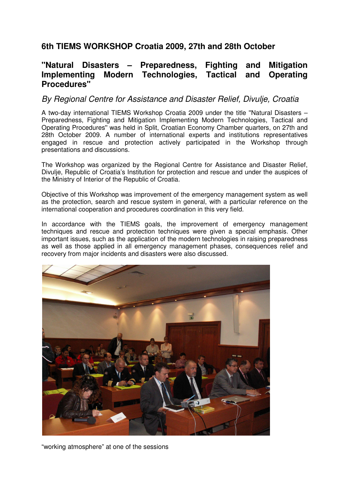## **6th TIEMS WORKSHOP Croatia 2009, 27th and 28th October**

## **''Natural Disasters – Preparedness, Fighting and Mitigation Implementing Modern Technologies, Tactical and Operating Procedures''**

## By Regional Centre for Assistance and Disaster Relief, Divulje, Croatia

A two-day international TIEMS Workshop Croatia 2009 under the title ''Natural Disasters – Preparedness, Fighting and Mitigation Implementing Modern Technologies, Tactical and Operating Procedures'' was held in Split, Croatian Economy Chamber quarters, on 27th and 28th October 2009. A number of international experts and institutions representatives engaged in rescue and protection actively participated in the Workshop through presentations and discussions.

The Workshop was organized by the Regional Centre for Assistance and Disaster Relief, Divulje, Republic of Croatia's Institution for protection and rescue and under the auspices of the Ministry of Interior of the Republic of Croatia.

Objective of this Workshop was improvement of the emergency management system as well as the protection, search and rescue system in general, with a particular reference on the international cooperation and procedures coordination in this very field.

In accordance with the TIEMS goals, the improvement of emergency management techniques and rescue and protection techniques were given a special emphasis. Other important issues, such as the application of the modern technologies in raising preparedness as well as those applied in all emergency management phases, consequences relief and recovery from major incidents and disasters were also discussed.



"working atmosphere" at one of the sessions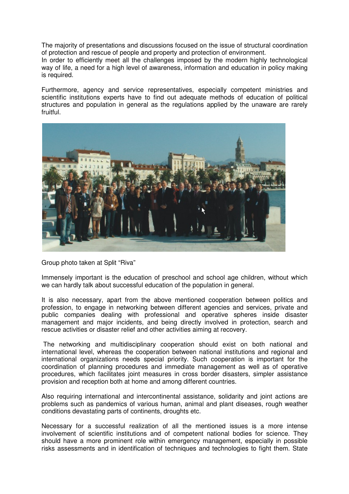The majority of presentations and discussions focused on the issue of structural coordination of protection and rescue of people and property and protection of environment.

In order to efficiently meet all the challenges imposed by the modern highly technological way of life, a need for a high level of awareness, information and education in policy making is required.

Furthermore, agency and service representatives, especially competent ministries and scientific institutions experts have to find out adequate methods of education of political structures and population in general as the regulations applied by the unaware are rarely fruitful.



Group photo taken at Split "Riva"

Immensely important is the education of preschool and school age children, without which we can hardly talk about successful education of the population in general.

It is also necessary, apart from the above mentioned cooperation between politics and profession, to engage in networking between different agencies and services, private and public companies dealing with professional and operative spheres inside disaster management and major incidents, and being directly involved in protection, search and rescue activities or disaster relief and other activities aiming at recovery.

 The networking and multidisciplinary cooperation should exist on both national and international level, whereas the cooperation between national institutions and regional and international organizations needs special priority. Such cooperation is important for the coordination of planning procedures and immediate management as well as of operative procedures, which facilitates joint measures in cross border disasters, simpler assistance provision and reception both at home and among different countries.

Also requiring international and intercontinental assistance, solidarity and joint actions are problems such as pandemics of various human, animal and plant diseases, rough weather conditions devastating parts of continents, droughts etc.

Necessary for a successful realization of all the mentioned issues is a more intense involvement of scientific institutions and of competent national bodies for science. They should have a more prominent role within emergency management, especially in possible risks assessments and in identification of techniques and technologies to fight them. State